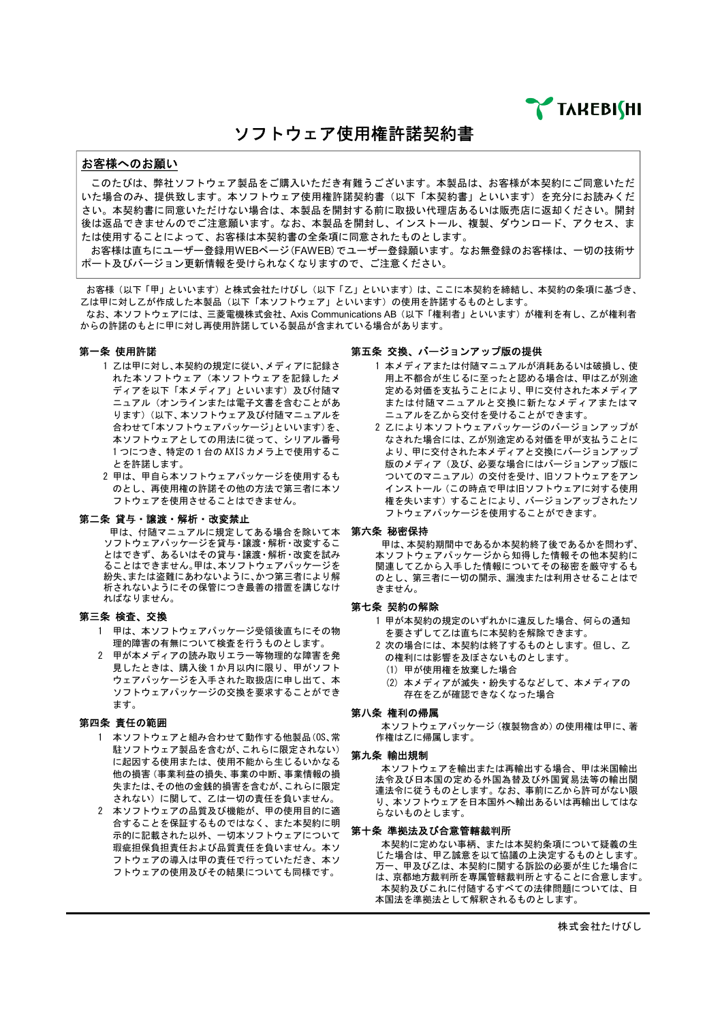**TAREBIGHI** 

ソフトウェア使用権許諾契約書

## お客様へのお願い

このたびは、弊社ソフトウェア製品をご購入いただき有難うございます。本製品は、お客様が本契約にご同意いただ いた場合のみ、提供致します。本ソフトウェア使用権許諾契約書(以下「本契約書」といいます)を充分にお読みくだ さい。本契約書に同意いただけない場合は、本製品を開封する前に取扱い代理店あるいは販売店に返却ください。開封 後は返品できませんのでご注意願います。なお、本製品を開封し、インストール、複製、ダウンロード、アクセス、ま たは使用することによって、お客様は本契約書の全条項に同意されたものとします。

お客様は直ちにユーザー登録用WEBページ(FAWEB)でユーザー登録願います。なお無登録のお客様は、一切の技術サ ポート及びバージョン更新情報を受けられなくなりますので、ご注意ください。

お客様(以下「甲」といいます)と株式会社たけびし(以下「乙」といいます)は、ここに本契約を締結し、本契約の条項に基づき、 乙は甲に対し乙が作成した本製品(以下「本ソフトウェア」といいます)の使用を許諾するものとします。 なお、本ソフトウェアには、三菱電機株式会社、Axis Communications AB (以下「権利者」といいます)が権利を有し、乙が権利者 からの許諾のもとに甲に対し再使用許諾している製品が含まれている場合があります。

## 第一条 使用許諾

- 1 乙は甲に対し、本契約の規定に従い、メディアに記録さ れた本ソフトウェア(本ソフトウェアを記録したメ ディアを以下「本メディア」といいます)及び付随マ ニュアル(オンラインまたは電子文書を含むことがあ ります)(以下、本ソフトウェア及び付随マニュアルを 合わせて「本ソフトウェアパッケージ」といいます)を、 本ソフトウェアとしての用法に従って、シリアル番号 1 つにつき、特定の1台の AXIS カメラ上で使用するこ とを許諾します。
- 2 甲は、甲自ら本ソフトウェアパッケージを使用するも のとし、再使用権の許諾その他の方法で第三者に本ソ フトウェアを使用させることはできません。

## 第二条 貸与・譲渡・解析・改変禁止

甲は、付随マニュアルに規定してある場合を除いて本 **第六条 秘密保持** ソフトウェアパッケージを貸与・譲渡・解析・改変するこ とはできず、あるいはその貸与・譲渡・解析・改変を試み ることはできません。甲は、本ソフトウェアパッケージを 紛失、または盗難にあわないように、かつ第三者により解 析されないようにその保管につき最善の措置を講じなけ ればなりません。

## 第三条検査、交換

- 1 甲は、本ソフトウェアパッケージ受領後直ちにその物 理的障害の有無について検査を行うものとします。
- 2 甲が本メディアの読み取りエラー等物理的な障害を発 見したときは、購入後1か月以内に限り、甲がソフト ウェアパッケージを入手された取扱店に申し出て、本 ソフトウェアパッケージの交換を要求することができ ます。

## 第四条 責任の範囲

- 1 本ソフトウェアと組み合わせて動作する他製品(OS、常 駐ソフトウェア製品を含むが、これらに限定されない) に起因する使用または、使用不能から生じるいかなる 他の損害(事業利益の損失、事業の中断、事業情報の損 失または、その他の金銭的損害を含むが、これらに限定 されない)に関して、乙は一切の責任を負いません。
- 2 本ソフトウェアの品質及び機能が、甲の使用目的に適 合することを保証するものではなく、また本契約に明 示的に記載された以外、一切本ソフトウェアについて 瑕疵担保負担責任および品質責任を負いません。本ソ フトウェアの導入は甲の責任で行っていただき、本ソ フトウェアの使用及びその結果についても同様です。

#### 第五条 交換、バージョンアップ版の提供

- 1 本メディアまたは付随マニュアルが消耗あるいは破損し、使 用上不都合が生じるに至ったと認める場合は、甲は乙が別途 定める対価を支払うことにより、甲に交付された本メディア または付随マニュアルと交換に新たなメディアまたはマ ニュアルを乙から交付を受けることができます。
- 2 乙により本ソフトウェアパッケージのバージョンアップが なされた場合には、乙が別途定める対価を甲が支払うことに より、甲に交付された本メディアと交換にバージョンアップ 版のメディア(及び、必要な場合にはバージョンアップ版に ついてのマニュアル)の交付を受け、旧ソフトウェアをアン インストール(この時点で甲は旧ソフトウェアに対する使用 権を失います)することにより、バージョンアップされたソ フトウェアパッケージを使用することができます。

甲は、本契約期間中であるか本契約終了後であるかを問わず、 本ソフトウェアパッケージから知得した情報その他本契約に 関連して乙から入手した情報についてその秘密を厳守するも のとし、第三者に一切の開示、漏洩または利用させることはで きません。

## 第七条 契約の解除

- 1 甲が本契約の規定のいずれかに違反した場合、何らの通知 を要さずして乙は直ちに本契約を解除できます。
- 2 次の場合には、本契約は終了するものとします。但し、乙 の権利には影響を及ぼさないものとします。
- (1) 甲が使用権を放棄した場合
- (2) 本メディアが滅失・紛失するなどして、本メディアの 存在を乙が確認できなくなった場合

## 第八条権利の帰属

本ソフトウェアパッケージ(複製物含め)の使用権は甲に、著 作権は乙に帰属します。

## 第九条輸出規制

本ソフトウェアを輸出または再輸出する場合、甲は米国輸出 法令及び日本国の定める外国為替及び外国貿易法等の輸出関 連法令に従うものとします。なお、事前に乙から許可がない限 り、本ソフトウェアを日本国外へ輸出あるいは再輸出してはな - - - - - - - - - - - - - - -<br>らないものとします。

## 第十条準拠法及び合意管轄裁判所

本契約に定めない事柄、または本契約条項について疑義の生 じた場合は、甲乙誠意を以て協議の上決定するものとします。 万一、甲及び乙は、本契約に関する訴訟の必要が生じた場合に 。。、「次じ出版、中央制作図グプの計画の幻気。 エンパ 弱白に<br>|は、京都地方裁判所を専属管轄裁判所とすることに合意します。 本契約及びこれに付随するすべての法律問題については、日 本国法を準拠法として解釈されるものとします。